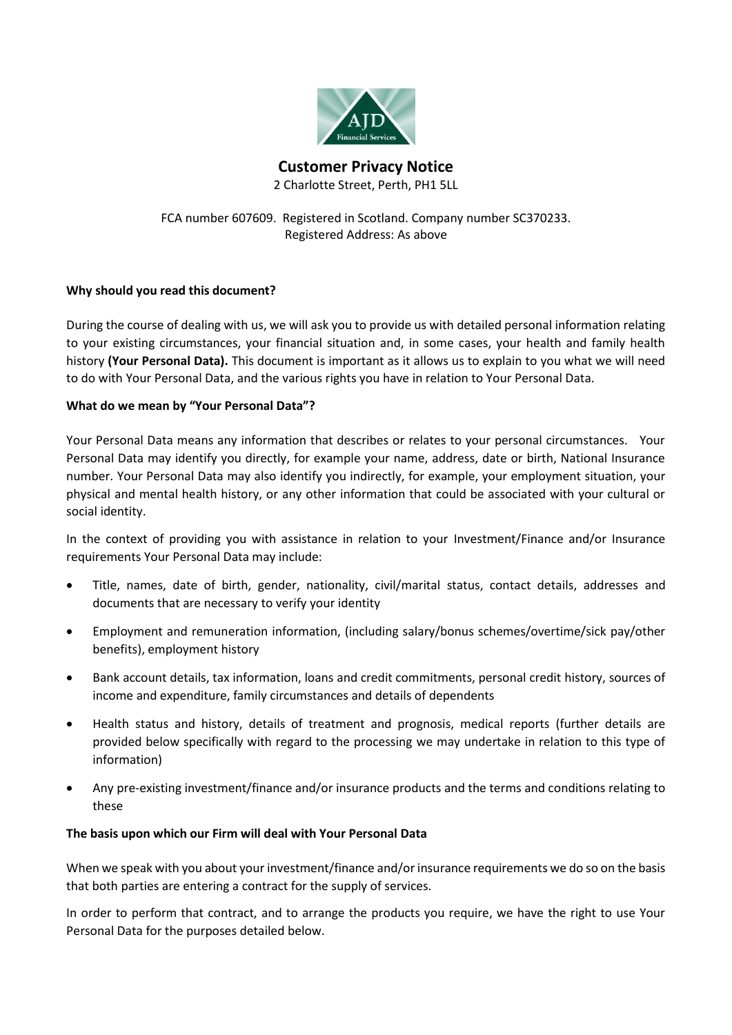

**Customer Privacy Notice** 2 Charlotte Street, Perth, PH1 5LL

FCA number 607609. Registered in Scotland. Company number SC370233. Registered Address: As above

# **Why should you read this document?**

During the course of dealing with us, we will ask you to provide us with detailed personal information relating to your existing circumstances, your financial situation and, in some cases, your health and family health history **(Your Personal Data).** This document is important as it allows us to explain to you what we will need to do with Your Personal Data, and the various rights you have in relation to Your Personal Data.

## **What do we mean by "Your Personal Data"?**

Your Personal Data means any information that describes or relates to your personal circumstances. Your Personal Data may identify you directly, for example your name, address, date or birth, National Insurance number. Your Personal Data may also identify you indirectly, for example, your employment situation, your physical and mental health history, or any other information that could be associated with your cultural or social identity.

In the context of providing you with assistance in relation to your Investment/Finance and/or Insurance requirements Your Personal Data may include:

- Title, names, date of birth, gender, nationality, civil/marital status, contact details, addresses and documents that are necessary to verify your identity
- Employment and remuneration information, (including salary/bonus schemes/overtime/sick pay/other benefits), employment history
- Bank account details, tax information, loans and credit commitments, personal credit history, sources of income and expenditure, family circumstances and details of dependents
- Health status and history, details of treatment and prognosis, medical reports (further details are provided below specifically with regard to the processing we may undertake in relation to this type of information)
- Any pre-existing investment/finance and/or insurance products and the terms and conditions relating to these

### **The basis upon which our Firm will deal with Your Personal Data**

When we speak with you about your investment/finance and/or insurance requirements we do so on the basis that both parties are entering a contract for the supply of services.

In order to perform that contract, and to arrange the products you require, we have the right to use Your Personal Data for the purposes detailed below.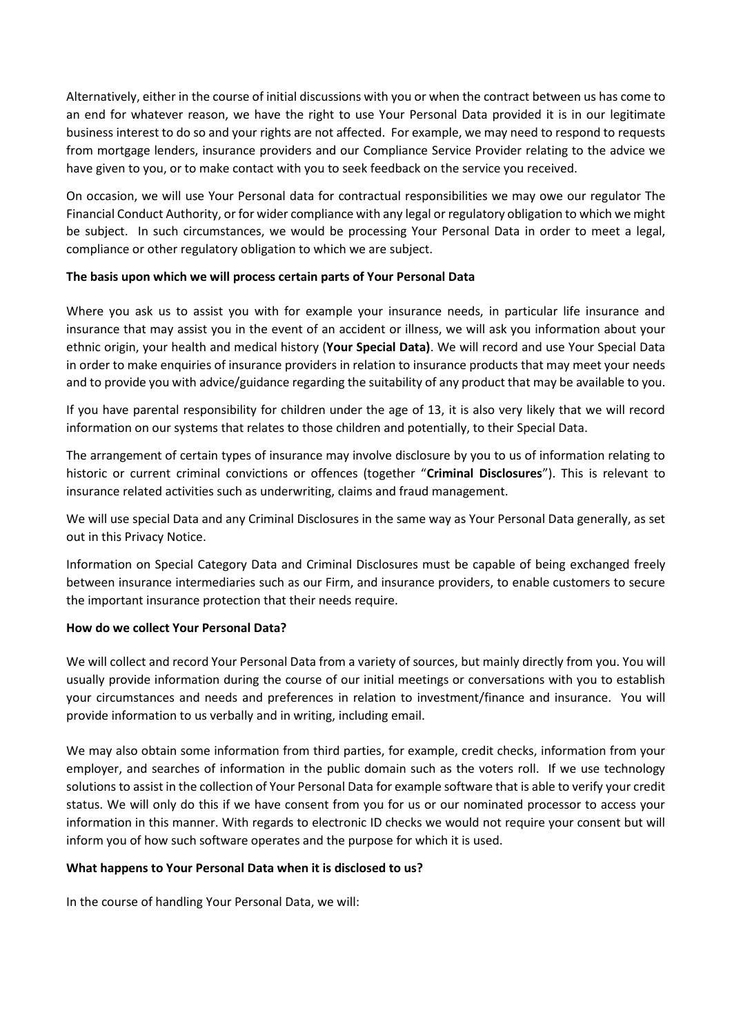Alternatively, either in the course of initial discussions with you or when the contract between us has come to an end for whatever reason, we have the right to use Your Personal Data provided it is in our legitimate business interest to do so and your rights are not affected. For example, we may need to respond to requests from mortgage lenders, insurance providers and our Compliance Service Provider relating to the advice we have given to you, or to make contact with you to seek feedback on the service you received.

On occasion, we will use Your Personal data for contractual responsibilities we may owe our regulator The Financial Conduct Authority, or for wider compliance with any legal or regulatory obligation to which we might be subject. In such circumstances, we would be processing Your Personal Data in order to meet a legal, compliance or other regulatory obligation to which we are subject.

## **The basis upon which we will process certain parts of Your Personal Data**

Where you ask us to assist you with for example your insurance needs, in particular life insurance and insurance that may assist you in the event of an accident or illness, we will ask you information about your ethnic origin, your health and medical history (**Your Special Data)**. We will record and use Your Special Data in order to make enquiries of insurance providers in relation to insurance products that may meet your needs and to provide you with advice/guidance regarding the suitability of any product that may be available to you.

If you have parental responsibility for children under the age of 13, it is also very likely that we will record information on our systems that relates to those children and potentially, to their Special Data.

The arrangement of certain types of insurance may involve disclosure by you to us of information relating to historic or current criminal convictions or offences (together "**Criminal Disclosures**"). This is relevant to insurance related activities such as underwriting, claims and fraud management.

We will use special Data and any Criminal Disclosures in the same way as Your Personal Data generally, as set out in this Privacy Notice.

Information on Special Category Data and Criminal Disclosures must be capable of being exchanged freely between insurance intermediaries such as our Firm, and insurance providers, to enable customers to secure the important insurance protection that their needs require.

### **How do we collect Your Personal Data?**

We will collect and record Your Personal Data from a variety of sources, but mainly directly from you. You will usually provide information during the course of our initial meetings or conversations with you to establish your circumstances and needs and preferences in relation to investment/finance and insurance. You will provide information to us verbally and in writing, including email.

We may also obtain some information from third parties, for example, credit checks, information from your employer, and searches of information in the public domain such as the voters roll. If we use technology solutions to assist in the collection of Your Personal Data for example software that is able to verify your credit status. We will only do this if we have consent from you for us or our nominated processor to access your information in this manner. With regards to electronic ID checks we would not require your consent but will inform you of how such software operates and the purpose for which it is used.

### **What happens to Your Personal Data when it is disclosed to us?**

In the course of handling Your Personal Data, we will: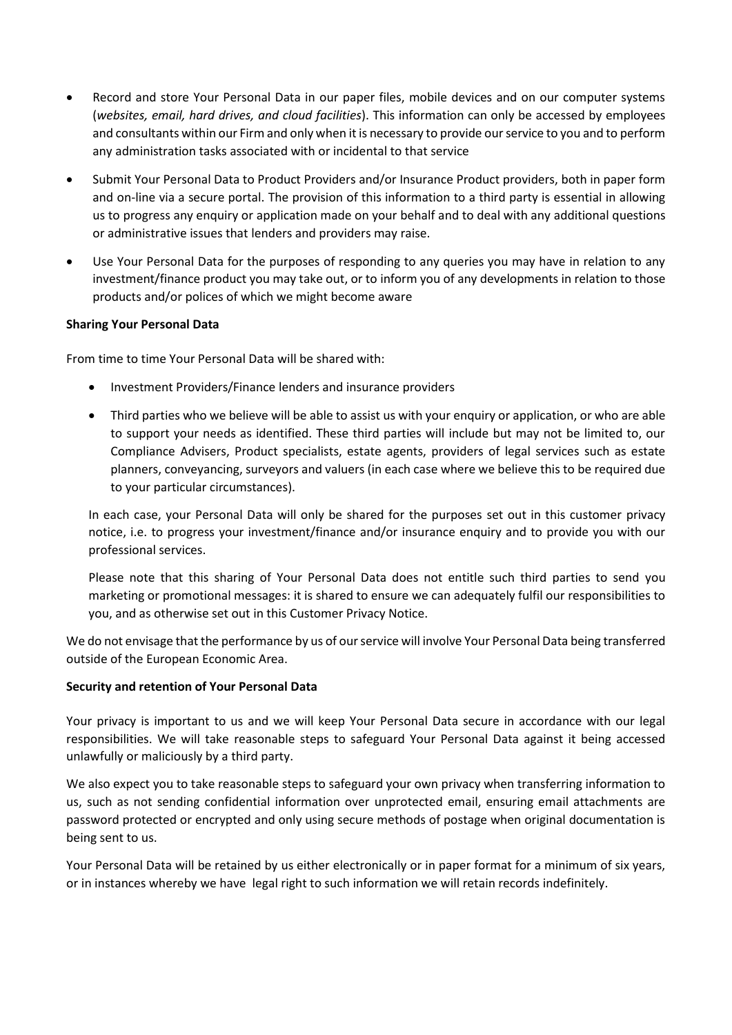- Record and store Your Personal Data in our paper files, mobile devices and on our computer systems (*websites, email, hard drives, and cloud facilities*). This information can only be accessed by employees and consultants within our Firm and only when it is necessary to provide our service to you and to perform any administration tasks associated with or incidental to that service
- Submit Your Personal Data to Product Providers and/or Insurance Product providers, both in paper form and on-line via a secure portal. The provision of this information to a third party is essential in allowing us to progress any enquiry or application made on your behalf and to deal with any additional questions or administrative issues that lenders and providers may raise.
- Use Your Personal Data for the purposes of responding to any queries you may have in relation to any investment/finance product you may take out, or to inform you of any developments in relation to those products and/or polices of which we might become aware

## **Sharing Your Personal Data**

From time to time Your Personal Data will be shared with:

- Investment Providers/Finance lenders and insurance providers
- Third parties who we believe will be able to assist us with your enquiry or application, or who are able to support your needs as identified. These third parties will include but may not be limited to, our Compliance Advisers, Product specialists, estate agents, providers of legal services such as estate planners, conveyancing, surveyors and valuers (in each case where we believe this to be required due to your particular circumstances).

In each case, your Personal Data will only be shared for the purposes set out in this customer privacy notice, i.e. to progress your investment/finance and/or insurance enquiry and to provide you with our professional services.

Please note that this sharing of Your Personal Data does not entitle such third parties to send you marketing or promotional messages: it is shared to ensure we can adequately fulfil our responsibilities to you, and as otherwise set out in this Customer Privacy Notice.

We do not envisage that the performance by us of our service will involve Your Personal Data being transferred outside of the European Economic Area.

### **Security and retention of Your Personal Data**

Your privacy is important to us and we will keep Your Personal Data secure in accordance with our legal responsibilities. We will take reasonable steps to safeguard Your Personal Data against it being accessed unlawfully or maliciously by a third party.

We also expect you to take reasonable steps to safeguard your own privacy when transferring information to us, such as not sending confidential information over unprotected email, ensuring email attachments are password protected or encrypted and only using secure methods of postage when original documentation is being sent to us.

Your Personal Data will be retained by us either electronically or in paper format for a minimum of six years, or in instances whereby we have legal right to such information we will retain records indefinitely.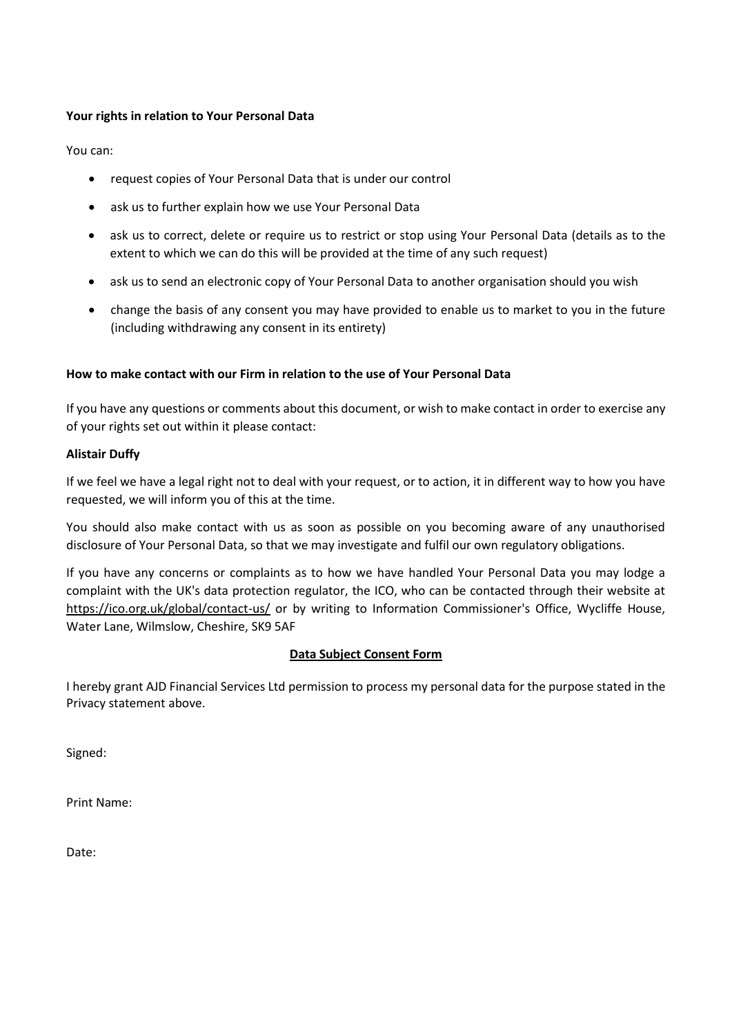## **Your rights in relation to Your Personal Data**

You can:

- request copies of Your Personal Data that is under our control
- ask us to further explain how we use Your Personal Data
- ask us to correct, delete or require us to restrict or stop using Your Personal Data (details as to the extent to which we can do this will be provided at the time of any such request)
- ask us to send an electronic copy of Your Personal Data to another organisation should you wish
- change the basis of any consent you may have provided to enable us to market to you in the future (including withdrawing any consent in its entirety)

### **How to make contact with our Firm in relation to the use of Your Personal Data**

If you have any questions or comments about this document, or wish to make contact in order to exercise any of your rights set out within it please contact:

### **Alistair Duffy**

If we feel we have a legal right not to deal with your request, or to action, it in different way to how you have requested, we will inform you of this at the time.

You should also make contact with us as soon as possible on you becoming aware of any unauthorised disclosure of Your Personal Data, so that we may investigate and fulfil our own regulatory obligations.

If you have any concerns or complaints as to how we have handled Your Personal Data you may lodge a complaint with the UK's data protection regulator, the ICO, who can be contacted through their website at <https://ico.org.uk/global/contact-us/> or by writing to Information Commissioner's Office, Wycliffe House, Water Lane, Wilmslow, Cheshire, SK9 5AF

### **Data Subject Consent Form**

I hereby grant AJD Financial Services Ltd permission to process my personal data for the purpose stated in the Privacy statement above.

Signed:

Print Name:

Date: